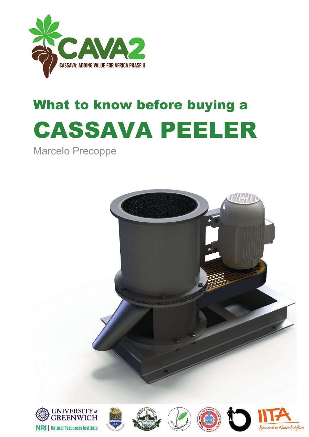

# What to know before buying a CASSAVA PEELER

Marcelo Precoppe

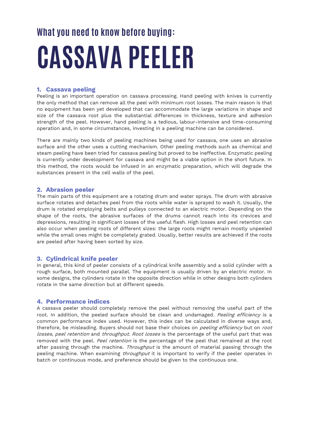# **What you need to know before buying: CASSAVA PEELER**

## **1. Cassava peeling**

Peeling is an important operation on cassava processing. Hand peeling with knives is currently the only method that can remove all the peel with minimum root losses. The main reason is that no equipment has been yet developed that can accommodate the large variations in shape and size of the cassava root plus the substantial differences in thickness, texture and adhesion strength of the peel. However, hand peeling is a tedious, labour-intensive and time-consuming operation and, in some circumstances, investing in a peeling machine can be considered.

There are mainly two kinds of peeling machines being used for cassava, one uses an abrasive surface and the other uses a cutting mechanism. Other peeling methods such as chemical and steam peeling have been tried for cassava peeling but proved to be ineffective. Enzymatic peeling is currently under development for cassava and might be a viable option in the short future. In this method, the roots would be infused in an enzymatic preparation, which will degrade the substances present in the cell walls of the peel.

### **2. Abrasion peeler**

The main parts of this equipment are a rotating drum and water sprays. The drum with abrasive surface rotates and detaches peel from the roots while water is sprayed to wash it. Usually, the drum is rotated employing belts and pulleys connected to an electric motor. Depending on the shape of the roots, the abrasive surfaces of the drums cannot reach into its crevices and depressions, resulting in significant losses of the useful flesh. High losses and peel retention can also occur when peeling roots of different sizes: the large roots might remain mostly unpeeled while the small ones might be completely grated. Usually, better results are achieved if the roots are peeled after having been sorted by size.

### **3. Cylindrical knife peeler**

In general, this kind of peeler consists of a cylindrical knife assembly and a solid cylinder with a rough surface, both mounted parallel. The equipment is usually driven by an electric motor. In some designs, the cylinders rotate in the opposite direction while in other designs both cylinders rotate in the same direction but at different speeds.

#### **4. Performance indices**

A cassava peeler should completely remove the peel without removing the useful part of the root. In addition, the peeled surface should be clean and undamaged. Peeling efficiency is a common performance index used. However, this index can be calculated in diverse ways and, therefore, be misleading. Buyers should not base their choices on *peeling efficiency* but on *root* losses, peel retention and throughput. Root losses is the percentage of the useful part that was removed with the peel. Peel retention is the percentage of the peel that remained at the root after passing through the machine. Throughput is the amount of material passing through the peeling machine. When examining *throughput* it is important to verify if the peeler operates in batch or continuous mode, and preference should be given to the continuous one.